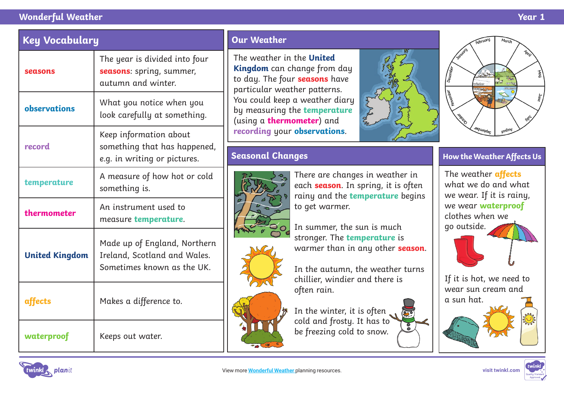#### **Wonderful Weather Year 1**



The weather in the **United Kingdom** can change from day to day. The four **seasons** have particular weather patterns. You could keep a weather diary by measuring the **temperature** (using a **thermometer**) and **recording** your **observations**.

## **Seasonal Changes**



There are changes in weather in each **season**. In spring, it is often rainy and the **temperature** begins to get warmer.

In summer, the sun is much stronger. The **temperature** is warmer than in any other **season**.

In the autumn, the weather turns chillier, windier and there is often rain.

In the winter, it is often cold and frosty. It has to be freezing cold to snow.





### **How the Weather Affects Us**

The weather **affects**  what we do and what we wear. If it is rainy, we wear **waterproof**  clothes when we go outside.

If it is hot, we need to wear sun cream and a sun hat.